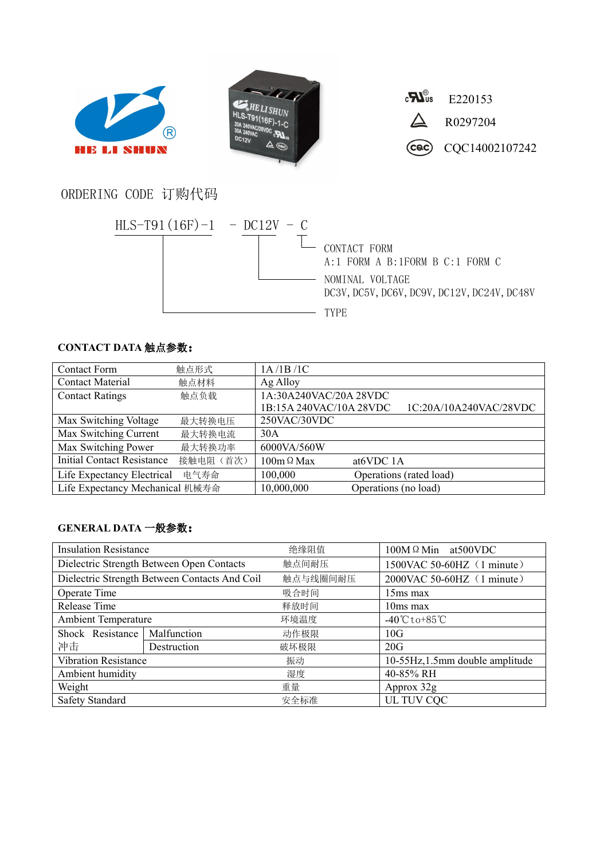





## ORDERING CODE 订购代码



## **CONTACT DATA** 触点参数:

| <b>Contact Form</b>               | 触点形式      | 1A/1B/1C                                          |
|-----------------------------------|-----------|---------------------------------------------------|
| <b>Contact Material</b>           | 触点材料      | Ag Alloy                                          |
| <b>Contact Ratings</b>            | 触点负载      | 1A:30A240VAC/20A 28VDC                            |
|                                   |           | 1B:15A 240VAC/10A 28VDC<br>1C:20A/10A240VAC/28VDC |
| Max Switching Voltage             | 最大转换电压    | 250VAC/30VDC                                      |
| Max Switching Current             | 最大转换电流    | 30A                                               |
| Max Switching Power               | 最大转换功率    | 6000VA/560W                                       |
| <b>Initial Contact Resistance</b> | 接触电阻 (首次) | $100m \Omega$ Max<br>at <sub>6</sub> VDC 1A       |
| Life Expectancy Electrical        | 电气寿命      | 100,000<br>Operations (rated load)                |
| Life Expectancy Mechanical 机械寿命   |           | 10,000,000<br>Operations (no load)                |

## **GENERAL DATA** 一般参数:

| <b>Insulation Resistance</b>                  |             | 绝缘阻值     | $100M \Omega$ Min at 500 VDC        |  |
|-----------------------------------------------|-------------|----------|-------------------------------------|--|
| Dielectric Strength Between Open Contacts     |             | 触点间耐压    | 1500VAC 50-60HZ (1 minute)          |  |
| Dielectric Strength Between Contacts And Coil |             | 触点与线圈间耐压 | 2000VAC 50-60HZ (1 minute)          |  |
| Operate Time                                  |             | 吸合时间     | $15ms$ max                          |  |
| Release Time                                  |             | 释放时间     | $10ms$ max                          |  |
| <b>Ambient Temperature</b>                    |             | 环境温度     | $-40^{\circ}$ C to +85 $^{\circ}$ C |  |
| Shock Resistance                              | Malfunction | 动作极限     | 10G                                 |  |
| 冲击                                            | Destruction | 破坏极限     | 20G                                 |  |
| <b>Vibration Resistance</b>                   |             | 振动       | 10-55Hz, 1.5mm double amplitude     |  |
| Ambient humidity                              |             | 湿度       | 40-85% RH                           |  |
| Weight                                        |             | 重量       | Approx 32g                          |  |
| <b>Safety Standard</b>                        |             | 安全标准     | UL TUV CQC                          |  |